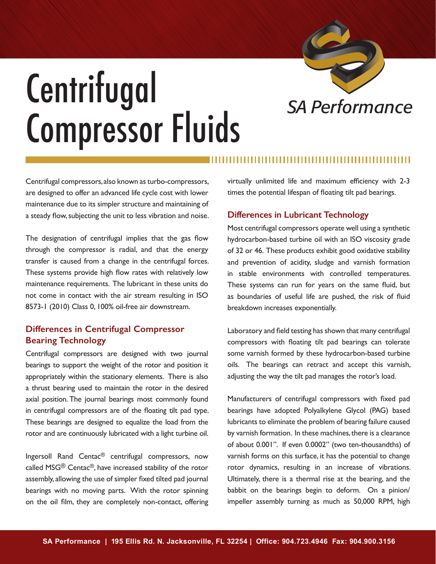

## *SA Performance* Centrifugal Compressor Fluids

Centrifugal compressors, also known as turbo-compressors, are designed to offer an advanced life cycle cost with lower maintenance due to its simpler structure and maintaining of a steady flow, subjecting the unit to less vibration and noise.

The designation of centrifugal implies that the gas flow through the compressor is radial, and that the energy transfer is caused from a change in the centrifugal forces. These systems provide high flow rates with relatively low maintenance requirements. The lubricant in these units do not come in contact with the air stream resulting in ISO 8573-1 (2010) Class 0, 100% oil-free air downstream.

## **Differences in Centrifugal Compressor Bearing Technology**

Centrifugal compressors are designed with two journal bearings to support the weight of the rotor and position it appropriately within the stationary elements. There is also a thrust bearing used to maintain the rotor in the desired axial position. The journal bearings most commonly found in centrifugal compressors are of the floating tilt pad type. These bearings are designed to equalize the load from the rotor and are continuously lubricated with a light turbine oil.

Ingersoll Rand Centac® centrifugal compressors, now called MSG® Centac®, have increased stability of the rotor assembly, allowing the use of simpler fixed tilted pad journal bearings with no moving parts. With the rotor spinning on the oil film, they are completely non-contact, offering virtually unlimited life and maximum efficiency with 2-3 times the potential lifespan of floating tilt pad bearings.

## **Differences in Lubricant Technology**

Most centrifugal compressors operate well using a synthetic hydrocarbon-based turbine oil with an ISO viscosity grade of 32 or 46. These products exhibit good oxidative stability and prevention of acidity, sludge and varnish formation in stable environments with controlled temperatures. These systems can run for years on the same fluid, but as boundaries of useful life are pushed, the risk of fluid breakdown increases exponentially.

Laboratory and field testing has shown that many centrifugal compressors with floating tilt pad bearings can tolerate some varnish formed by these hydrocarbon-based turbine oils. The bearings can retract and accept this varnish, adjusting the way the tilt pad manages the rotor's load.

Manufacturers of centrifugal compressors with fixed pad bearings have adopted Polyalkylene Glycol (PAG) based lubricants to eliminate the problem of bearing failure caused by varnish formation. In these machines, there is a clearance of about 0.001". If even 0.0002" (two ten-thousandths) of varnish forms on this surface, it has the potential to change rotor dynamics, resulting in an increase of vibrations. Ultimately, there is a thermal rise at the bearing, and the babbit on the bearings begin to deform. On a pinion/ impeller assembly turning as much as 50,000 RPM, high